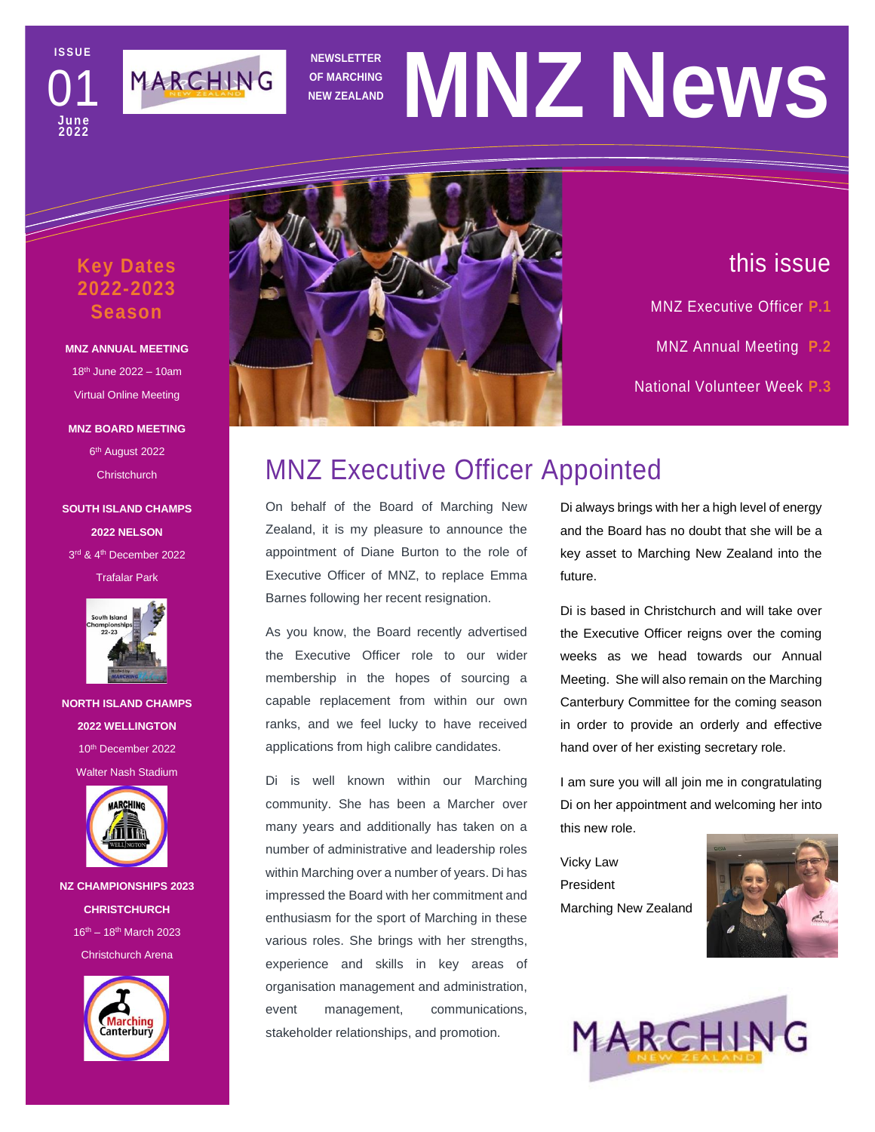**I S S U E June 2022** 01



# **NEWSLETTER OF MARCHING NEWSLETTER** MNZ NeWS

### **Key Dates 2022-2023 Season**

### **MNZ ANNUAL MEETING** 18th June 2022 – 10am Virtual Online Meeting

**MNZ BOARD MEETING** 6<sup>th</sup> August 2022 **Christchurch** 

**SOUTH ISLAND CHAMPS 2022 NELSON** 3 rd & 4th December 2022 Trafalar Park



**NORTH ISLAND CHAMPS 2022 WELLINGTON** 10th December 2022 Walter Nash Stadium



**NZ CHAMPIONSHIPS 2023 CHRISTCHURCH**  $16^{th} - 18^{th}$  March 2023 Christchurch Arena





# this issue

MNZ Executive Officer **P.1**

- MNZ Annual Meeting **P.2**
- National Volunteer Week **P.3**

Trends & New Software **P.4**

# MNZ Executive Officer Appointed

On behalf of the Board of Marching New Zealand, it is my pleasure to announce the appointment of Diane Burton to the role of Executive Officer of MNZ, to replace Emma Barnes following her recent resignation.

As you know, the Board recently advertised the Executive Officer role to our wider membership in the hopes of sourcing a capable replacement from within our own ranks, and we feel lucky to have received applications from high calibre candidates.

Di is well known within our Marching community. She has been a Marcher over many years and additionally has taken on a number of administrative and leadership roles within Marching over a number of years. Di has impressed the Board with her commitment and enthusiasm for the sport of Marching in these various roles. She brings with her strengths, experience and skills in key areas of organisation management and administration, event management, communications, stakeholder relationships, and promotion.

Di always brings with her a high level of energy and the Board has no doubt that she will be a key asset to Marching New Zealand into the future.

Di is based in Christchurch and will take over the Executive Officer reigns over the coming weeks as we head towards our Annual Meeting. She will also remain on the Marching Canterbury Committee for the coming season in order to provide an orderly and effective hand over of her existing secretary role.

I am sure you will all join me in congratulating Di on her appointment and welcoming her into this new role.

Vicky Law President Marching New Zealand



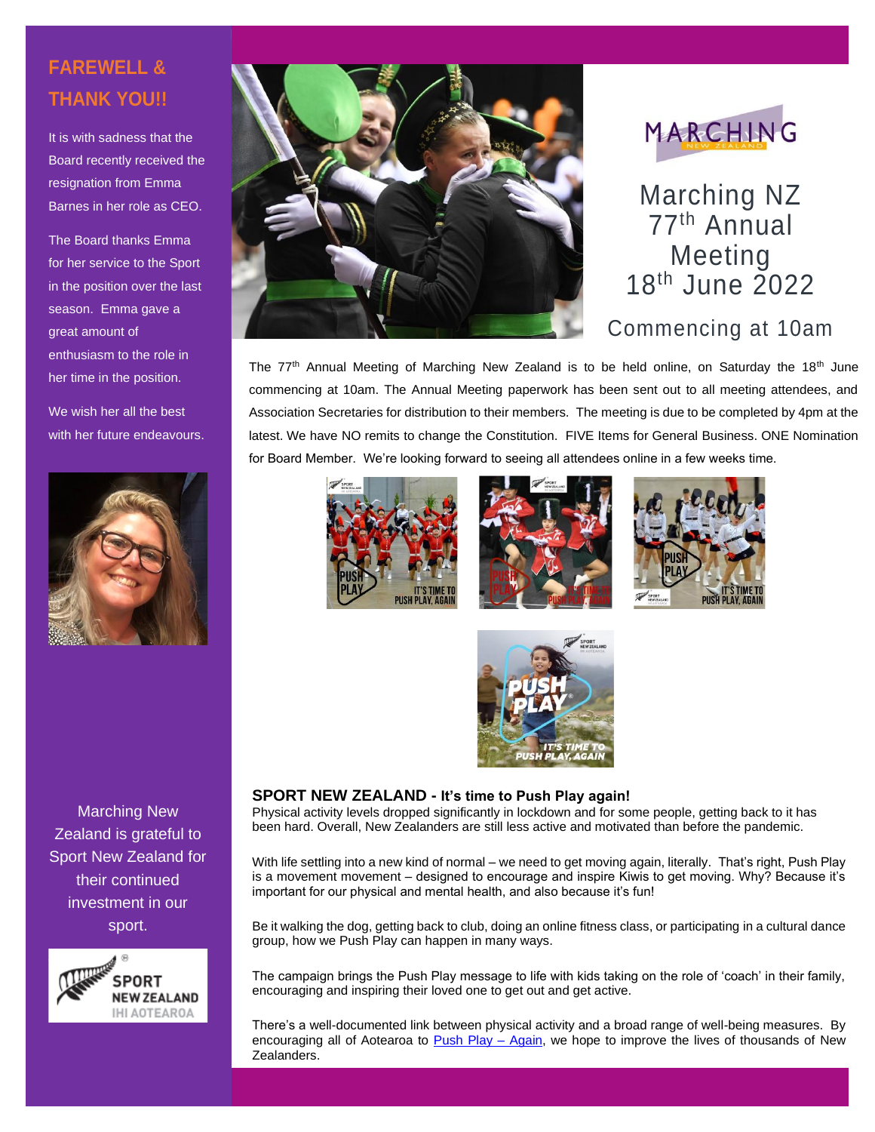## **FAREWELL & THANK YOU!!**

It is with sadness that the Board recently received the resignation from Emma Barnes in her role as CEO.

The Board thanks Emma for her service to the Sport in the position over the last season. Emma gave a great amount of enthusiasm to the role in her time in the position.

We wish her all the best with her future endeavours.



Marching New Zealand is grateful to Sport New Zealand for their continued investment in our sport.







Marching NZ 77th Annual Meeting 18<sup>th</sup> June 2022

## Commencing at 10am

The  $77<sup>th</sup>$  Annual Meeting of Marching New Zealand is to be held online, on Saturday the 18<sup>th</sup> June commencing at 10am. The Annual Meeting paperwork has been sent out to all meeting attendees, and Association Secretaries for distribution to their members. The meeting is due to be completed by 4pm at the latest. We have NO remits to change the Constitution. FIVE Items for General Business. ONE Nomination for Board Member. We're looking forward to seeing all attendees online in a few weeks time.









#### **SPORT NEW ZEALAND - It's time to Push Play again!**

Physical activity levels dropped significantly in lockdown and for some people, getting back to it has been hard. Overall, New Zealanders are still less active and motivated than before the pandemic.

With life settling into a new kind of normal – we need to get moving again, literally. That's right, Push Play is a movement movement – designed to encourage and inspire Kiwis to get moving. Why? Because it's important for our physical and mental health, and also because it's fun!

Be it walking the dog, getting back to club, doing an online fitness class, or participating in a cultural dance group, how we Push Play can happen in many ways.

The campaign brings the Push Play message to life with kids taking on the role of 'coach' in their family, encouraging and inspiring their loved one to get out and get active.

There's a well-documented link between physical activity and a broad range of well-being measures. By encouraging all of Aotearoa to [Push Play –](https://sportnz.org.nz/pushplay/push-play-aotearoa/) Again, we hope to improve the lives of thousands of New Zealanders.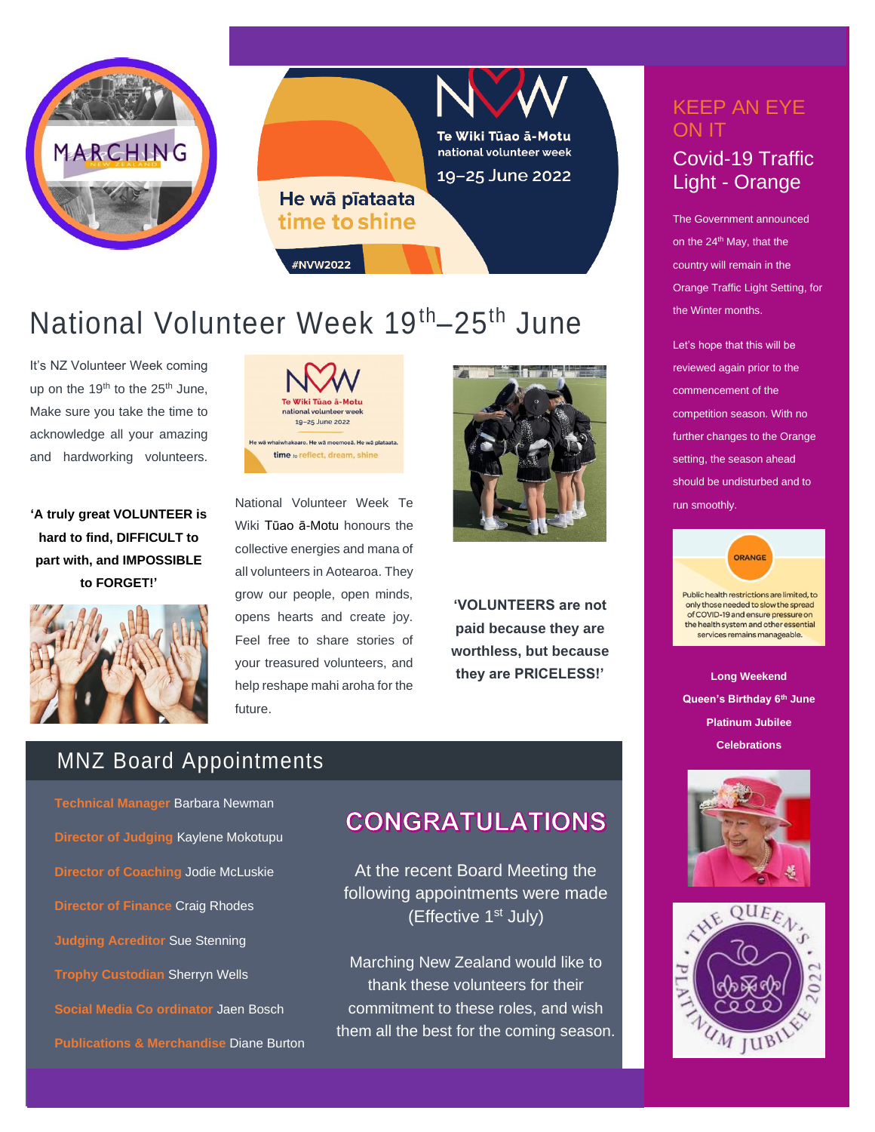



# National Volunteer Week 19<sup>th</sup>–25<sup>th</sup> June

It's NZ Volunteer Week coming up on the  $19<sup>th</sup>$  to the  $25<sup>th</sup>$  June, Make sure you take the time to acknowledge all your amazing and hardworking volunteers.

**'A truly great VOLUNTEER is hard to find, DIFFICULT to part with, and IMPOSSIBLE to FORGET!'**





National Volunteer Week Te Wiki Tūao ā-Motu honours the collective energies and mana of all volunteers in Aotearoa. They grow our people, open minds, opens hearts and create joy. Feel free to share stories of your treasured volunteers, and help reshape mahi aroha for the future.



**'VOLUNTEERS are not paid because they are worthless, but because they are PRICELESS!'**

## MNZ Board Appointments

**Technical Manager** Barbara Newman **Director of Judging** Kaylene Mokotupu **Director of Coaching** Jodie McLuskie **Director of Finance** Craig Rhodes **Judging Acreditor** Sue Stenning **Trophy Custodian** Sherryn Wells **Social Media Co ordinator** Jaen Bosch **Publications & Merchandise** Diane Burton

## **CONGRATULATIONS**

At the recent Board Meeting the following appointments were made (Effective 1st July)

Marching New Zealand would like to thank these volunteers for their commitment to these roles, and wish them all the best for the coming season.

# KEEP AN EYE ON IT

### Covid-19 Traffic Light - Orange

The Government announced on the 24<sup>th</sup> May, that the country will remain in the Orange Traffic Light Setting, for the Winter months.

Let's hope that this will be reviewed again prior to the commencement of the competition season. With no further changes to the Orange setting, the season ahead should be undisturbed and to run smoothly.



only those needed to slow the spread of COVID-19 and ensure pressure on the health system and other essential services remains manageable.

**Long Weekend Queen's Birthday 6th June Platinum Jubilee Celebrations**